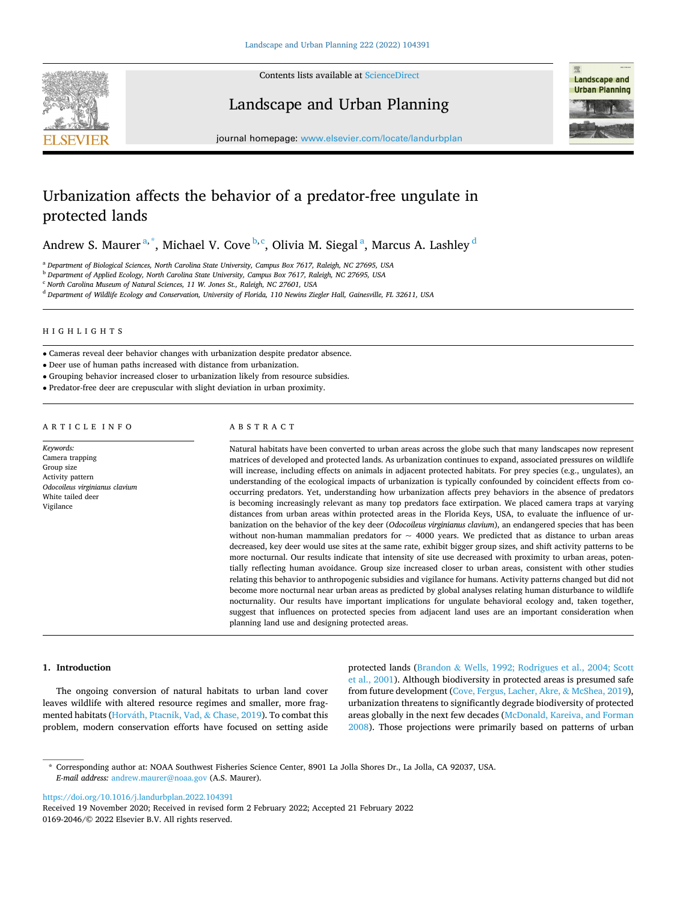

Contents lists available at [ScienceDirect](www.sciencedirect.com/science/journal/01692046)

Landscape and Urban Planning



journal homepage: [www.elsevier.com/locate/landurbplan](https://www.elsevier.com/locate/landurbplan)

# Urbanization affects the behavior of a predator-free ungulate in protected lands

Andrew S. Maurer $^{\mathrm{a},\mathrm{*}}$ , Michael V. Cove $^{\mathrm{b},\mathrm{c}}$ , Olivia M. Siegal $^{\mathrm{a}}$ , Marcus A. Lashley $^{\mathrm{d}}$ 

<sup>a</sup> *Department of Biological Sciences, North Carolina State University, Campus Box 7617, Raleigh, NC 27695, USA* 

<sup>b</sup> *Department of Applied Ecology, North Carolina State University, Campus Box 7617, Raleigh, NC 27695, USA* 

<sup>c</sup> *North Carolina Museum of Natural Sciences, 11 W. Jones St., Raleigh, NC 27601, USA* 

<sup>d</sup> *Department of Wildlife Ecology and Conservation, University of Florida, 110 Newins Ziegler Hall, Gainesville, FL 32611, USA* 

# HIGHLIGHTS

• Cameras reveal deer behavior changes with urbanization despite predator absence.

• Deer use of human paths increased with distance from urbanization.

• Grouping behavior increased closer to urbanization likely from resource subsidies.

• Predator-free deer are crepuscular with slight deviation in urban proximity.

# ARTICLE INFO

*Keywords:*  Camera trapping Group size Activity pattern *Odocoileus virginianus clavium*  White tailed deer Vigilance

# ABSTRACT

Natural habitats have been converted to urban areas across the globe such that many landscapes now represent matrices of developed and protected lands. As urbanization continues to expand, associated pressures on wildlife will increase, including effects on animals in adjacent protected habitats. For prey species (e.g., ungulates), an understanding of the ecological impacts of urbanization is typically confounded by coincident effects from cooccurring predators. Yet, understanding how urbanization affects prey behaviors in the absence of predators is becoming increasingly relevant as many top predators face extirpation. We placed camera traps at varying distances from urban areas within protected areas in the Florida Keys, USA, to evaluate the influence of urbanization on the behavior of the key deer (*Odocoileus virginianus clavium*), an endangered species that has been without non-human mammalian predators for  $\sim$  4000 years. We predicted that as distance to urban areas decreased, key deer would use sites at the same rate, exhibit bigger group sizes, and shift activity patterns to be more nocturnal. Our results indicate that intensity of site use decreased with proximity to urban areas, potentially reflecting human avoidance. Group size increased closer to urban areas, consistent with other studies relating this behavior to anthropogenic subsidies and vigilance for humans. Activity patterns changed but did not become more nocturnal near urban areas as predicted by global analyses relating human disturbance to wildlife nocturnality. Our results have important implications for ungulate behavioral ecology and, taken together, suggest that influences on protected species from adjacent land uses are an important consideration when planning land use and designing protected areas.

## **1. Introduction**

The ongoing conversion of natural habitats to urban land cover leaves wildlife with altered resource regimes and smaller, more fragmented habitats (Horváth, Ptacnik, Vad, & Chase, 2019). To combat this problem, modern conservation efforts have focused on setting aside

protected lands (Brandon & [Wells, 1992; Rodrigues et al., 2004; Scott](#page-6-0)  [et al., 2001\)](#page-6-0). Although biodiversity in protected areas is presumed safe from future development ([Cove, Fergus, Lacher, Akre,](#page-6-0) & McShea, 2019), urbanization threatens to significantly degrade biodiversity of protected areas globally in the next few decades [\(McDonald, Kareiva, and Forman](#page-7-0)  [2008\)](#page-7-0). Those projections were primarily based on patterns of urban

<https://doi.org/10.1016/j.landurbplan.2022.104391>

<sup>\*</sup> Corresponding author at: NOAA Southwest Fisheries Science Center, 8901 La Jolla Shores Dr., La Jolla, CA 92037, USA. *E-mail address:* [andrew.maurer@noaa.gov](mailto:andrew.maurer@noaa.gov) (A.S. Maurer).

<sup>0169-2046/© 2022</sup> Elsevier B.V. All rights reserved. Received 19 November 2020; Received in revised form 2 February 2022; Accepted 21 February 2022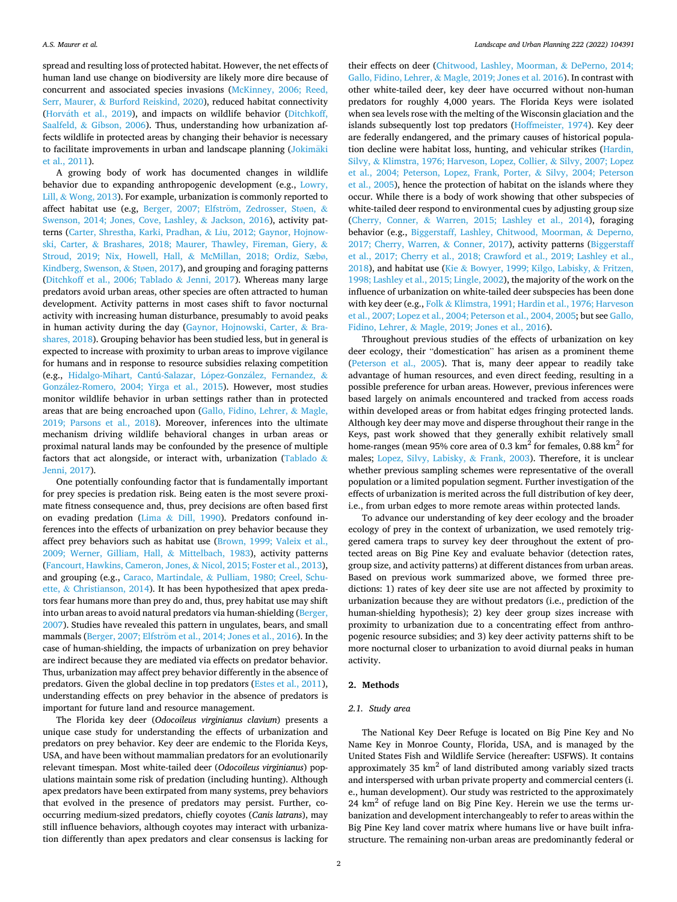spread and resulting loss of protected habitat. However, the net effects of human land use change on biodiversity are likely more dire because of concurrent and associated species invasions ([McKinney, 2006; Reed,](#page-7-0)  Serr, Maurer, & [Burford Reiskind, 2020](#page-7-0)), reduced habitat connectivity (Horváth et al., 2019), and impacts on wildlife behavior (Ditchkoff, Saalfeld, & [Gibson, 2006](#page-6-0)). Thus, understanding how urbanization affects wildlife in protected areas by changing their behavior is necessary to facilitate improvements in urban and landscape planning [\(Jokim](#page-7-0)äki [et al., 2011\)](#page-7-0).

A growing body of work has documented changes in wildlife behavior due to expanding anthropogenic development (e.g., [Lowry,](#page-7-0)  Lill, & [Wong, 2013](#page-7-0)). For example, urbanization is commonly reported to affect habitat use (e.g, Berger, 2007; Elfström, Zedrosser, Støen, & [Swenson, 2014; Jones, Cove, Lashley,](#page-6-0) & Jackson, 2016), activity patterns ([Carter, Shrestha, Karki, Pradhan,](#page-6-0) & Liu, 2012; Gaynor, Hojnowski, Carter, & [Brashares, 2018; Maurer, Thawley, Fireman, Giery,](#page-6-0) & [Stroud, 2019; Nix, Howell, Hall,](#page-6-0) & McMillan, 2018; Ordiz, Sæbø, [Kindberg, Swenson,](#page-6-0) & Støen, 2017), and grouping and foraging patterns ([Ditchkoff et al., 2006; Tablado](#page-6-0) & Jenni, 2017). Whereas many large predators avoid urban areas, other species are often attracted to human development. Activity patterns in most cases shift to favor nocturnal activity with increasing human disturbance, presumably to avoid peaks in human activity during the day ([Gaynor, Hojnowski, Carter,](#page-6-0) & Bra[shares, 2018\)](#page-6-0). Grouping behavior has been studied less, but in general is expected to increase with proximity to urban areas to improve vigilance for humans and in response to resource subsidies relaxing competition (e.g., Hidalgo-Mihart, Cantú-Salazar, López-González, Fernandez, & González-Romero, [2004; Yirga et al., 2015](#page-7-0)). However, most studies monitor wildlife behavior in urban settings rather than in protected areas that are being encroached upon ([Gallo, Fidino, Lehrer,](#page-6-0) & Magle, [2019; Parsons et al., 2018\)](#page-6-0). Moreover, inferences into the ultimate mechanism driving wildlife behavioral changes in urban areas or proximal natural lands may be confounded by the presence of multiple factors that act alongside, or interact with, urbanization [\(Tablado](#page-7-0) & [Jenni, 2017](#page-7-0)).

One potentially confounding factor that is fundamentally important for prey species is predation risk. Being eaten is the most severe proximate fitness consequence and, thus, prey decisions are often based first on evading predation (Lima & [Dill, 1990](#page-7-0)). Predators confound inferences into the effects of urbanization on prey behavior because they affect prey behaviors such as habitat use [\(Brown, 1999; Valeix et al.,](#page-6-0)  [2009; Werner, Gilliam, Hall,](#page-6-0) & Mittelbach, 1983), activity patterns ([Fancourt, Hawkins, Cameron, Jones,](#page-6-0) & Nicol, 2015; Foster et al., 2013), and grouping (e.g., Caraco, Martindale, & [Pulliam, 1980; Creel, Schu](#page-6-0)ette, & [Christianson, 2014](#page-6-0)). It has been hypothesized that apex predators fear humans more than prey do and, thus, prey habitat use may shift into urban areas to avoid natural predators via human-shielding [\(Berger,](#page-6-0)  [2007\)](#page-6-0). Studies have revealed this pattern in ungulates, bears, and small mammals (Berger, 2007; Elfström [et al., 2014; Jones et al., 2016](#page-6-0)). In the case of human-shielding, the impacts of urbanization on prey behavior are indirect because they are mediated via effects on predator behavior. Thus, urbanization may affect prey behavior differently in the absence of predators. Given the global decline in top predators ([Estes et al., 2011](#page-6-0)), understanding effects on prey behavior in the absence of predators is important for future land and resource management.

The Florida key deer (*Odocoileus virginianus clavium*) presents a unique case study for understanding the effects of urbanization and predators on prey behavior. Key deer are endemic to the Florida Keys, USA, and have been without mammalian predators for an evolutionarily relevant timespan. Most white-tailed deer (*Odocoileus virginianus*) populations maintain some risk of predation (including hunting). Although apex predators have been extirpated from many systems, prey behaviors that evolved in the presence of predators may persist. Further, cooccurring medium-sized predators, chiefly coyotes (*Canis latrans*), may still influence behaviors, although coyotes may interact with urbanization differently than apex predators and clear consensus is lacking for

their effects on deer [\(Chitwood, Lashley, Moorman,](#page-6-0) & DePerno, 2014; Gallo, Fidino, Lehrer, & [Magle, 2019; Jones et al. 2016\)](#page-6-0). In contrast with other white-tailed deer, key deer have occurred without non-human predators for roughly 4,000 years. The Florida Keys were isolated when sea levels rose with the melting of the Wisconsin glaciation and the islands subsequently lost top predators ([Hoffmeister, 1974\)](#page-7-0). Key deer are federally endangered, and the primary causes of historical population decline were habitat loss, hunting, and vehicular strikes ([Hardin,](#page-7-0)  Silvy, & [Klimstra, 1976; Harveson, Lopez, Collier,](#page-7-0) & Silvy, 2007; Lopez [et al., 2004; Peterson, Lopez, Frank, Porter,](#page-7-0) & Silvy, 2004; Peterson [et al., 2005\)](#page-7-0), hence the protection of habitat on the islands where they occur. While there is a body of work showing that other subspecies of white-tailed deer respond to environmental cues by adjusting group size (Cherry, Conner, & [Warren, 2015; Lashley et al., 2014](#page-6-0)), foraging behavior (e.g., [Biggerstaff, Lashley, Chitwood, Moorman,](#page-6-0) & Deperno, [2017; Cherry, Warren,](#page-6-0) & Conner, 2017), activity patterns ([Biggerstaff](#page-6-0)  [et al., 2017; Cherry et al., 2018; Crawford et al., 2019; Lashley et al.,](#page-6-0)  [2018\)](#page-6-0), and habitat use (Kie & [Bowyer, 1999; Kilgo, Labisky,](#page-7-0) & Fritzen, [1998; Lashley et al., 2015; Lingle, 2002](#page-7-0)), the majority of the work on the influence of urbanization on white-tailed deer subspecies has been done with key deer (e.g., Folk & [Klimstra, 1991; Hardin et al., 1976; Harveson](#page-6-0)  [et al., 2007; Lopez et al., 2004; Peterson et al., 2004, 2005;](#page-6-0) but see [Gallo,](#page-6-0)  Fidino, Lehrer, & [Magle, 2019; Jones et al., 2016\)](#page-6-0).

Throughout previous studies of the effects of urbanization on key deer ecology, their "domestication" has arisen as a prominent theme ([Peterson et al., 2005](#page-7-0)). That is, many deer appear to readily take advantage of human resources, and even direct feeding, resulting in a possible preference for urban areas. However, previous inferences were based largely on animals encountered and tracked from access roads within developed areas or from habitat edges fringing protected lands. Although key deer may move and disperse throughout their range in the Keys, past work showed that they generally exhibit relatively small home-ranges (mean 95% core area of 0.3  $\text{km}^2$  for females, 0.88  $\text{km}^2$  for males; [Lopez, Silvy, Labisky,](#page-7-0) & Frank, 2003). Therefore, it is unclear whether previous sampling schemes were representative of the overall population or a limited population segment. Further investigation of the effects of urbanization is merited across the full distribution of key deer, i.e., from urban edges to more remote areas within protected lands.

To advance our understanding of key deer ecology and the broader ecology of prey in the context of urbanization, we used remotely triggered camera traps to survey key deer throughout the extent of protected areas on Big Pine Key and evaluate behavior (detection rates, group size, and activity patterns) at different distances from urban areas. Based on previous work summarized above, we formed three predictions: 1) rates of key deer site use are not affected by proximity to urbanization because they are without predators (i.e., prediction of the human-shielding hypothesis); 2) key deer group sizes increase with proximity to urbanization due to a concentrating effect from anthropogenic resource subsidies; and 3) key deer activity patterns shift to be more nocturnal closer to urbanization to avoid diurnal peaks in human activity.

# **2. Methods**

# *2.1. Study area*

The National Key Deer Refuge is located on Big Pine Key and No Name Key in Monroe County, Florida, USA, and is managed by the United States Fish and Wildlife Service (hereafter: USFWS). It contains approximately 35  $km<sup>2</sup>$  of land distributed among variably sized tracts and interspersed with urban private property and commercial centers (i. e., human development). Our study was restricted to the approximately  $24 \text{ km}^2$  of refuge land on Big Pine Key. Herein we use the terms urbanization and development interchangeably to refer to areas within the Big Pine Key land cover matrix where humans live or have built infrastructure. The remaining non-urban areas are predominantly federal or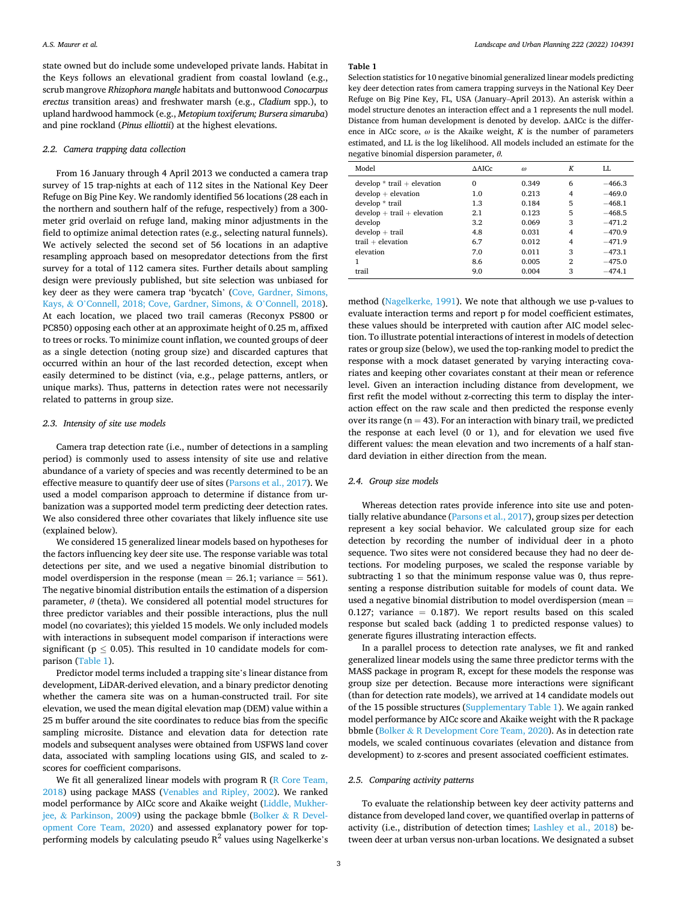<span id="page-2-0"></span>state owned but do include some undeveloped private lands. Habitat in the Keys follows an elevational gradient from coastal lowland (e.g., scrub mangrove *Rhizophora mangle* habitats and buttonwood *Conocarpus erectus* transition areas) and freshwater marsh (e.g., *Cladium* spp.), to upland hardwood hammock (e.g., *Metopium toxiferum; Bursera simaruba*) and pine rockland (*Pinus elliottii*) at the highest elevations.

## *2.2. Camera trapping data collection*

From 16 January through 4 April 2013 we conducted a camera trap survey of 15 trap-nights at each of 112 sites in the National Key Deer Refuge on Big Pine Key. We randomly identified 56 locations (28 each in the northern and southern half of the refuge, respectively) from a 300 meter grid overlaid on refuge land, making minor adjustments in the field to optimize animal detection rates (e.g., selecting natural funnels). We actively selected the second set of 56 locations in an adaptive resampling approach based on mesopredator detections from the first survey for a total of 112 camera sites. Further details about sampling design were previously published, but site selection was unbiased for key deer as they were camera trap 'bycatch' [\(Cove, Gardner, Simons,](#page-6-0)  Kays, & O'[Connell, 2018; Cove, Gardner, Simons,](#page-6-0) & O'Connell, 2018). At each location, we placed two trail cameras (Reconyx PS800 or PC850) opposing each other at an approximate height of 0.25 m, affixed to trees or rocks. To minimize count inflation, we counted groups of deer as a single detection (noting group size) and discarded captures that occurred within an hour of the last recorded detection, except when easily determined to be distinct (via, e.g., pelage patterns, antlers, or unique marks). Thus, patterns in detection rates were not necessarily related to patterns in group size.

# *2.3. Intensity of site use models*

Camera trap detection rate (i.e., number of detections in a sampling period) is commonly used to assess intensity of site use and relative abundance of a variety of species and was recently determined to be an effective measure to quantify deer use of sites ([Parsons et al., 2017](#page-7-0)). We used a model comparison approach to determine if distance from urbanization was a supported model term predicting deer detection rates. We also considered three other covariates that likely influence site use (explained below).

We considered 15 generalized linear models based on hypotheses for the factors influencing key deer site use. The response variable was total detections per site, and we used a negative binomial distribution to model overdispersion in the response (mean  $= 26.1$ ; variance  $= 561$ ). The negative binomial distribution entails the estimation of a dispersion parameter, *θ* (theta). We considered all potential model structures for three predictor variables and their possible interactions, plus the null model (no covariates); this yielded 15 models. We only included models with interactions in subsequent model comparison if interactions were significant ( $p < 0.05$ ). This resulted in 10 candidate models for comparison (Table 1).

Predictor model terms included a trapping site's linear distance from development, LiDAR-derived elevation, and a binary predictor denoting whether the camera site was on a human-constructed trail. For site elevation, we used the mean digital elevation map (DEM) value within a 25 m buffer around the site coordinates to reduce bias from the specific sampling microsite. Distance and elevation data for detection rate models and subsequent analyses were obtained from USFWS land cover data, associated with sampling locations using GIS, and scaled to zscores for coefficient comparisons.

We fit all generalized linear models with program R (R Core Team, [2018\)](#page-7-0) using package MASS [\(Venables and Ripley, 2002\)](#page-7-0). We ranked model performance by AICc score and Akaike weight [\(Liddle, Mukher](#page-7-0)jee, & [Parkinson, 2009\)](#page-7-0) using the package bbmle (Bolker & [R Devel](#page-6-0)[opment Core Team, 2020](#page-6-0)) and assessed explanatory power for topperforming models by calculating pseudo  $R^2$  values using Nagelkerke's

#### **Table 1**

Selection statistics for 10 negative binomial generalized linear models predicting key deer detection rates from camera trapping surveys in the National Key Deer Refuge on Big Pine Key, FL, USA (January–April 2013). An asterisk within a model structure denotes an interaction effect and a 1 represents the null model. Distance from human development is denoted by develop. ΔAICc is the difference in AICc score,  $\omega$  is the Akaike weight,  $K$  is the number of parameters estimated, and LL is the log likelihood. All models included an estimate for the negative binomial dispersion parameter, *θ.* 

| Model                         | $\triangle$ AICc | $\omega$ | К              | LL       |
|-------------------------------|------------------|----------|----------------|----------|
| $develop * trail + elevation$ | 0                | 0.349    | 6              | $-466.3$ |
| $develp + elevation$          | 1.0              | 0.213    | $\overline{4}$ | $-469.0$ |
| develop * trail               | 1.3              | 0.184    | 5              | $-468.1$ |
| $develp + trail + elevation$  | 2.1              | 0.123    | 5              | $-468.5$ |
| develop                       | 3.2              | 0.069    | 3              | $-471.2$ |
| $develop + trail$             | 4.8              | 0.031    | $\overline{4}$ | $-470.9$ |
| $trail + elevation$           | 6.7              | 0.012    | $\overline{4}$ | $-471.9$ |
| elevation                     | 7.0              | 0.011    | 3              | $-473.1$ |
|                               | 8.6              | 0.005    | 2              | $-475.0$ |
| trail                         | 9.0              | 0.004    | 3              | $-474.1$ |

method [\(Nagelkerke, 1991](#page-7-0)). We note that although we use p-values to evaluate interaction terms and report p for model coefficient estimates, these values should be interpreted with caution after AIC model selection. To illustrate potential interactions of interest in models of detection rates or group size (below), we used the top-ranking model to predict the response with a mock dataset generated by varying interacting covariates and keeping other covariates constant at their mean or reference level. Given an interaction including distance from development, we first refit the model without z-correcting this term to display the interaction effect on the raw scale and then predicted the response evenly over its range ( $n = 43$ ). For an interaction with binary trail, we predicted the response at each level (0 or 1), and for elevation we used five different values: the mean elevation and two increments of a half standard deviation in either direction from the mean.

# *2.4. Group size models*

Whereas detection rates provide inference into site use and potentially relative abundance ([Parsons et al., 2017\)](#page-7-0), group sizes per detection represent a key social behavior. We calculated group size for each detection by recording the number of individual deer in a photo sequence. Two sites were not considered because they had no deer detections. For modeling purposes, we scaled the response variable by subtracting 1 so that the minimum response value was 0, thus representing a response distribution suitable for models of count data. We used a negative binomial distribution to model overdispersion (mean = 0.127; variance  $= 0.187$ ). We report results based on this scaled response but scaled back (adding 1 to predicted response values) to generate figures illustrating interaction effects.

In a parallel process to detection rate analyses, we fit and ranked generalized linear models using the same three predictor terms with the MASS package in program R, except for these models the response was group size per detection. Because more interactions were significant (than for detection rate models), we arrived at 14 candidate models out of the 15 possible structures (Supplementary Table 1). We again ranked model performance by AICc score and Akaike weight with the R package bbmle (Bolker & [R Development Core Team, 2020](#page-6-0)). As in detection rate models, we scaled continuous covariates (elevation and distance from development) to z-scores and present associated coefficient estimates.

# *2.5. Comparing activity patterns*

To evaluate the relationship between key deer activity patterns and distance from developed land cover, we quantified overlap in patterns of activity (i.e., distribution of detection times; [Lashley et al., 2018\)](#page-7-0) between deer at urban versus non-urban locations. We designated a subset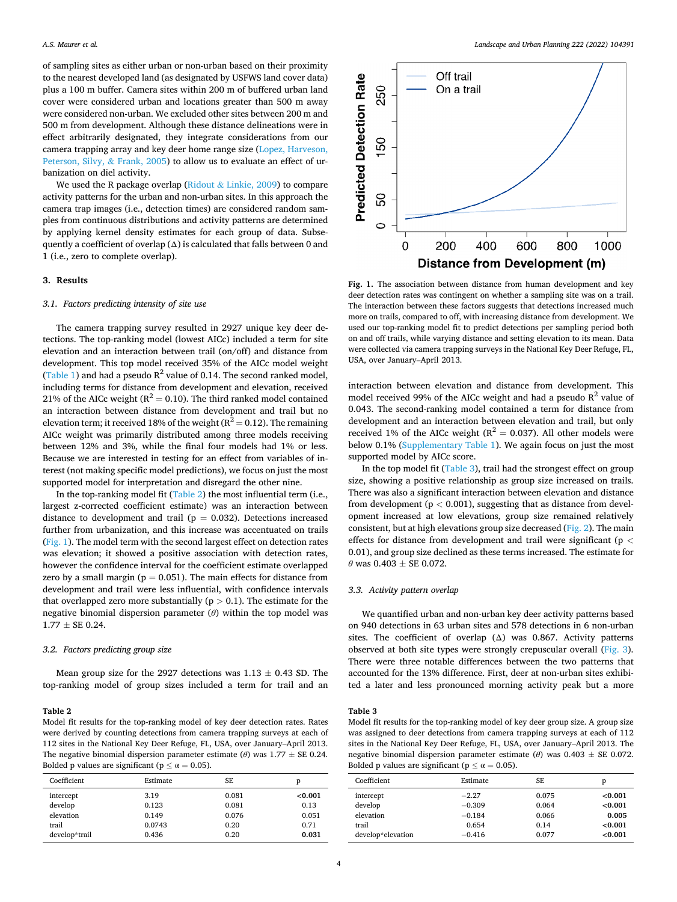<span id="page-3-0"></span>of sampling sites as either urban or non-urban based on their proximity to the nearest developed land (as designated by USFWS land cover data) plus a 100 m buffer. Camera sites within 200 m of buffered urban land cover were considered urban and locations greater than 500 m away were considered non-urban. We excluded other sites between 200 m and 500 m from development. Although these distance delineations were in effect arbitrarily designated, they integrate considerations from our camera trapping array and key deer home range size [\(Lopez, Harveson,](#page-7-0)  [Peterson, Silvy,](#page-7-0) & Frank, 2005) to allow us to evaluate an effect of urbanization on diel activity.

We used the R package overlap (Ridout & [Linkie, 2009\)](#page-7-0) to compare activity patterns for the urban and non-urban sites. In this approach the camera trap images (i.e., detection times) are considered random samples from continuous distributions and activity patterns are determined by applying kernel density estimates for each group of data. Subsequently a coefficient of overlap  $(\Delta)$  is calculated that falls between 0 and 1 (i.e., zero to complete overlap).

# **3. Results**

## *3.1. Factors predicting intensity of site use*

The camera trapping survey resulted in 2927 unique key deer detections. The top-ranking model (lowest AICc) included a term for site elevation and an interaction between trail (on/off) and distance from development. This top model received 35% of the AICc model weight ([Table 1\)](#page-2-0) and had a pseudo  $R^2$  value of 0.14. The second ranked model, including terms for distance from development and elevation, received 21% of the AICc weight ( $R^2 = 0.10$ ). The third ranked model contained an interaction between distance from development and trail but no elevation term; it received 18% of the weight ( $R^2 = 0.12$ ). The remaining AICc weight was primarily distributed among three models receiving between 12% and 3%, while the final four models had 1% or less. Because we are interested in testing for an effect from variables of interest (not making specific model predictions), we focus on just the most supported model for interpretation and disregard the other nine.

In the top-ranking model fit (Table 2) the most influential term (i.e., largest z-corrected coefficient estimate) was an interaction between distance to development and trail ( $p = 0.032$ ). Detections increased further from urbanization, and this increase was accentuated on trails (Fig. 1). The model term with the second largest effect on detection rates was elevation; it showed a positive association with detection rates, however the confidence interval for the coefficient estimate overlapped zero by a small margin ( $p = 0.051$ ). The main effects for distance from development and trail were less influential, with confidence intervals that overlapped zero more substantially  $(p > 0.1)$ . The estimate for the negative binomial dispersion parameter (*θ*) within the top model was  $1.77 \pm SE$  0.24.

## *3.2. Factors predicting group size*

Mean group size for the 2927 detections was  $1.13 \pm 0.43$  SD. The top-ranking model of group sizes included a term for trail and an

#### **Table 2**

Model fit results for the top-ranking model of key deer detection rates. Rates were derived by counting detections from camera trapping surveys at each of 112 sites in the National Key Deer Refuge, FL, USA, over January–April 2013. The negative binomial dispersion parameter estimate ( $\theta$ ) was 1.77  $\pm$  SE 0.24. Bolded p values are significant ( $p \le \alpha = 0.05$ ).

| Coefficient   | Estimate | SE    | p       |
|---------------|----------|-------|---------|
| intercept     | 3.19     | 0.081 | < 0.001 |
| develop       | 0.123    | 0.081 | 0.13    |
| elevation     | 0.149    | 0.076 | 0.051   |
| trail         | 0.0743   | 0.20  | 0.71    |
| develop*trail | 0.436    | 0.20  | 0.031   |



**Fig. 1.** The association between distance from human development and key deer detection rates was contingent on whether a sampling site was on a trail. The interaction between these factors suggests that detections increased much more on trails, compared to off, with increasing distance from development. We used our top-ranking model fit to predict detections per sampling period both on and off trails, while varying distance and setting elevation to its mean. Data were collected via camera trapping surveys in the National Key Deer Refuge, FL, USA, over January–April 2013.

interaction between elevation and distance from development. This model received 99% of the AICc weight and had a pseudo  $R^2$  value of 0.043. The second-ranking model contained a term for distance from development and an interaction between elevation and trail, but only received 1% of the AICc weight ( $R^2 = 0.037$ ). All other models were below 0.1% (Supplementary Table 1). We again focus on just the most supported model by AICc score.

In the top model fit (Table 3), trail had the strongest effect on group size, showing a positive relationship as group size increased on trails. There was also a significant interaction between elevation and distance from development (p *<* 0.001), suggesting that as distance from development increased at low elevations, group size remained relatively consistent, but at high elevations group size decreased ([Fig. 2](#page-4-0)). The main effects for distance from development and trail were significant (p *<* 0.01), and group size declined as these terms increased. The estimate for  $\theta$  was 0.403  $\pm$  SE 0.072.

## *3.3. Activity pattern overlap*

We quantified urban and non-urban key deer activity patterns based on 940 detections in 63 urban sites and 578 detections in 6 non-urban sites. The coefficient of overlap  $(\Delta)$  was 0.867. Activity patterns observed at both site types were strongly crepuscular overall ([Fig. 3](#page-4-0)). There were three notable differences between the two patterns that accounted for the 13% difference. First, deer at non-urban sites exhibited a later and less pronounced morning activity peak but a more

## **Table 3**

Model fit results for the top-ranking model of key deer group size. A group size was assigned to deer detections from camera trapping surveys at each of 112 sites in the National Key Deer Refuge, FL, USA, over January–April 2013. The negative binomial dispersion parameter estimate (*θ*) was 0.403 ± SE 0.072. Bolded p values are significant ( $p \le \alpha = 0.05$ ).

| Coefficient       | Estimate | SE.   | D       |
|-------------------|----------|-------|---------|
| intercept         | $-2.27$  | 0.075 | < 0.001 |
| develop           | $-0.309$ | 0.064 | < 0.001 |
| elevation         | $-0.184$ | 0.066 | 0.005   |
| trail             | 0.654    | 0.14  | < 0.001 |
| develop*elevation | $-0.416$ | 0.077 | < 0.001 |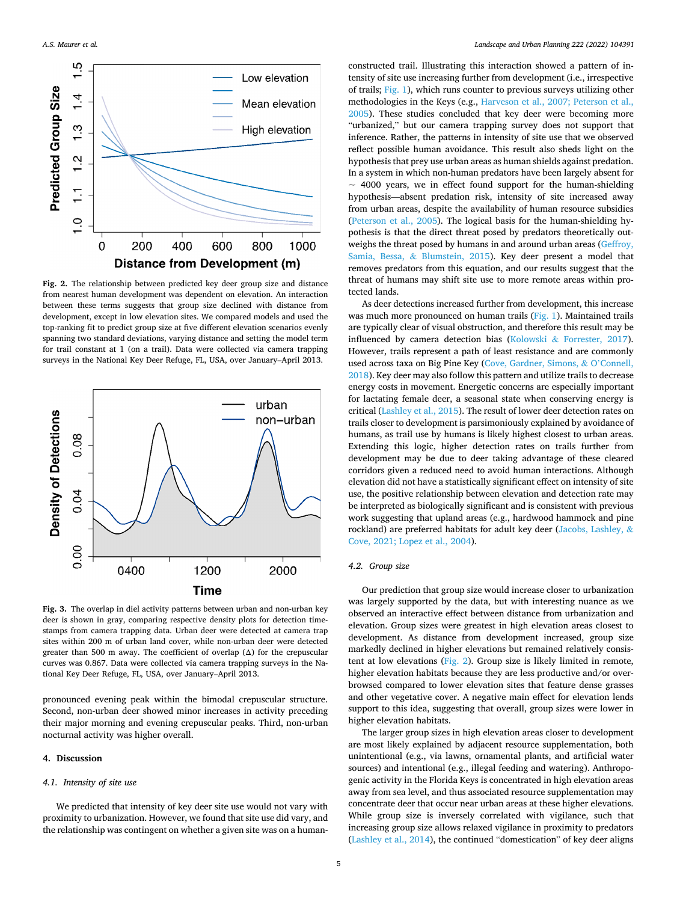<span id="page-4-0"></span>

**Fig. 2.** The relationship between predicted key deer group size and distance from nearest human development was dependent on elevation. An interaction between these terms suggests that group size declined with distance from development, except in low elevation sites. We compared models and used the top-ranking fit to predict group size at five different elevation scenarios evenly spanning two standard deviations, varying distance and setting the model term for trail constant at 1 (on a trail). Data were collected via camera trapping surveys in the National Key Deer Refuge, FL, USA, over January–April 2013.



**Fig. 3.** The overlap in diel activity patterns between urban and non-urban key deer is shown in gray, comparing respective density plots for detection timestamps from camera trapping data. Urban deer were detected at camera trap sites within 200 m of urban land cover, while non-urban deer were detected greater than 500 m away. The coefficient of overlap (Δ) for the crepuscular curves was 0.867. Data were collected via camera trapping surveys in the National Key Deer Refuge, FL, USA, over January–April 2013.

pronounced evening peak within the bimodal crepuscular structure. Second, non-urban deer showed minor increases in activity preceding their major morning and evening crepuscular peaks. Third, non-urban nocturnal activity was higher overall.

## **4. Discussion**

# *4.1. Intensity of site use*

We predicted that intensity of key deer site use would not vary with proximity to urbanization. However, we found that site use did vary, and the relationship was contingent on whether a given site was on a humanconstructed trail. Illustrating this interaction showed a pattern of intensity of site use increasing further from development (i.e., irrespective of trails; [Fig. 1](#page-3-0)), which runs counter to previous surveys utilizing other methodologies in the Keys (e.g., [Harveson et al., 2007; Peterson et al.,](#page-7-0)  [2005\)](#page-7-0). These studies concluded that key deer were becoming more "urbanized," but our camera trapping survey does not support that inference. Rather, the patterns in intensity of site use that we observed reflect possible human avoidance. This result also sheds light on the hypothesis that prey use urban areas as human shields against predation. In a system in which non-human predators have been largely absent for  $\sim$  4000 years, we in effect found support for the human-shielding hypothesis—absent predation risk, intensity of site increased away from urban areas, despite the availability of human resource subsidies ([Peterson et al., 2005\)](#page-7-0). The logical basis for the human-shielding hypothesis is that the direct threat posed by predators theoretically outweighs the threat posed by humans in and around urban areas [\(Geffroy,](#page-7-0)  Samia, Bessa, & [Blumstein, 2015](#page-7-0)). Key deer present a model that removes predators from this equation, and our results suggest that the threat of humans may shift site use to more remote areas within protected lands.

As deer detections increased further from development, this increase was much more pronounced on human trails ([Fig. 1\)](#page-3-0). Maintained trails are typically clear of visual obstruction, and therefore this result may be influenced by camera detection bias (Kolowski & [Forrester, 2017](#page-7-0)). However, trails represent a path of least resistance and are commonly used across taxa on Big Pine Key ([Cove, Gardner, Simons,](#page-6-0) & O'Connell, [2018\)](#page-6-0). Key deer may also follow this pattern and utilize trails to decrease energy costs in movement. Energetic concerns are especially important for lactating female deer, a seasonal state when conserving energy is critical ([Lashley et al., 2015\)](#page-7-0). The result of lower deer detection rates on trails closer to development is parsimoniously explained by avoidance of humans, as trail use by humans is likely highest closest to urban areas. Extending this logic, higher detection rates on trails further from development may be due to deer taking advantage of these cleared corridors given a reduced need to avoid human interactions. Although elevation did not have a statistically significant effect on intensity of site use, the positive relationship between elevation and detection rate may be interpreted as biologically significant and is consistent with previous work suggesting that upland areas (e.g., hardwood hammock and pine rockland) are preferred habitats for adult key deer ([Jacobs, Lashley,](#page-7-0) & [Cove, 2021; Lopez et al., 2004](#page-7-0)).

## *4.2. Group size*

Our prediction that group size would increase closer to urbanization was largely supported by the data, but with interesting nuance as we observed an interactive effect between distance from urbanization and elevation. Group sizes were greatest in high elevation areas closest to development. As distance from development increased, group size markedly declined in higher elevations but remained relatively consistent at low elevations (Fig. 2). Group size is likely limited in remote, higher elevation habitats because they are less productive and/or overbrowsed compared to lower elevation sites that feature dense grasses and other vegetative cover. A negative main effect for elevation lends support to this idea, suggesting that overall, group sizes were lower in higher elevation habitats.

The larger group sizes in high elevation areas closer to development are most likely explained by adjacent resource supplementation, both unintentional (e.g., via lawns, ornamental plants, and artificial water sources) and intentional (e.g., illegal feeding and watering). Anthropogenic activity in the Florida Keys is concentrated in high elevation areas away from sea level, and thus associated resource supplementation may concentrate deer that occur near urban areas at these higher elevations. While group size is inversely correlated with vigilance, such that increasing group size allows relaxed vigilance in proximity to predators ([Lashley et al., 2014](#page-7-0)), the continued "domestication" of key deer aligns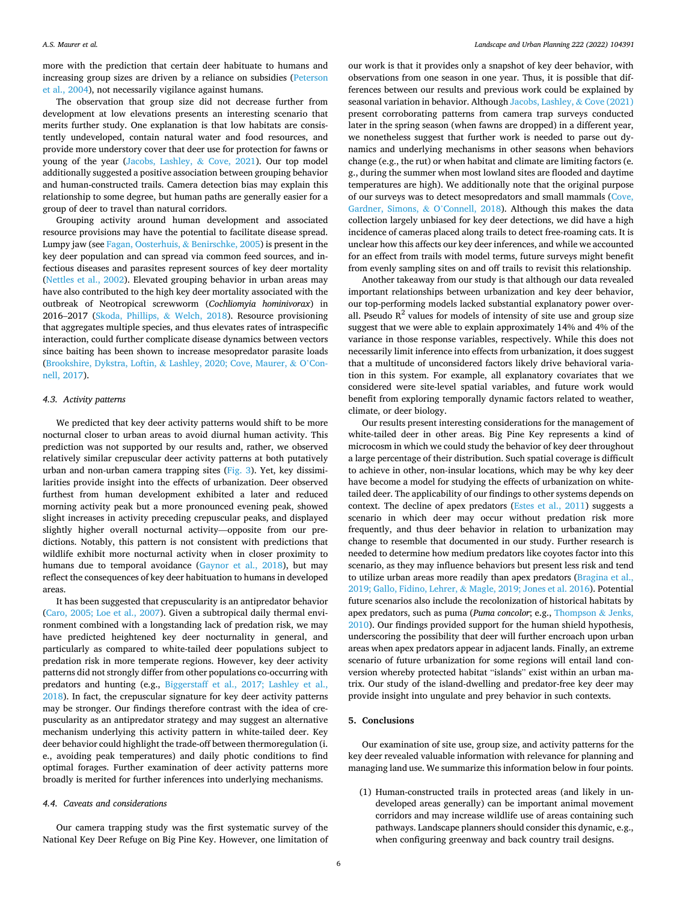more with the prediction that certain deer habituate to humans and increasing group sizes are driven by a reliance on subsidies [\(Peterson](#page-7-0)  [et al., 2004\)](#page-7-0), not necessarily vigilance against humans.

The observation that group size did not decrease further from development at low elevations presents an interesting scenario that merits further study. One explanation is that low habitats are consistently undeveloped, contain natural water and food resources, and provide more understory cover that deer use for protection for fawns or young of the year [\(Jacobs, Lashley,](#page-7-0) & Cove, 2021). Our top model additionally suggested a positive association between grouping behavior and human-constructed trails. Camera detection bias may explain this relationship to some degree, but human paths are generally easier for a group of deer to travel than natural corridors.

Grouping activity around human development and associated resource provisions may have the potential to facilitate disease spread. Lumpy jaw (see [Fagan, Oosterhuis,](#page-6-0) & Benirschke, 2005) is present in the key deer population and can spread via common feed sources, and infectious diseases and parasites represent sources of key deer mortality ([Nettles et al., 2002](#page-7-0)). Elevated grouping behavior in urban areas may have also contributed to the high key deer mortality associated with the outbreak of Neotropical screwworm (*Cochliomyia hominivorax*) in 2016–2017 [\(Skoda, Phillips,](#page-7-0) & Welch, 2018). Resource provisioning that aggregates multiple species, and thus elevates rates of intraspecific interaction, could further complicate disease dynamics between vectors since baiting has been shown to increase mesopredator parasite loads (Brookshire, Dykstra, Loftin, & [Lashley, 2020; Cove, Maurer,](#page-6-0) & O'Con[nell, 2017](#page-6-0)).

## *4.3. Activity patterns*

We predicted that key deer activity patterns would shift to be more nocturnal closer to urban areas to avoid diurnal human activity. This prediction was not supported by our results and, rather, we observed relatively similar crepuscular deer activity patterns at both putatively urban and non-urban camera trapping sites [\(Fig. 3\)](#page-4-0). Yet, key dissimilarities provide insight into the effects of urbanization. Deer observed furthest from human development exhibited a later and reduced morning activity peak but a more pronounced evening peak, showed slight increases in activity preceding crepuscular peaks, and displayed slightly higher overall nocturnal activity—opposite from our predictions. Notably, this pattern is not consistent with predictions that wildlife exhibit more nocturnal activity when in closer proximity to humans due to temporal avoidance ([Gaynor et al., 2018\)](#page-6-0), but may reflect the consequences of key deer habituation to humans in developed areas.

It has been suggested that crepuscularity is an antipredator behavior ([Caro, 2005; Loe et al., 2007\)](#page-6-0). Given a subtropical daily thermal environment combined with a longstanding lack of predation risk, we may have predicted heightened key deer nocturnality in general, and particularly as compared to white-tailed deer populations subject to predation risk in more temperate regions. However, key deer activity patterns did not strongly differ from other populations co-occurring with predators and hunting (e.g., [Biggerstaff et al., 2017; Lashley et al.,](#page-6-0)  [2018\)](#page-6-0). In fact, the crepuscular signature for key deer activity patterns may be stronger. Our findings therefore contrast with the idea of crepuscularity as an antipredator strategy and may suggest an alternative mechanism underlying this activity pattern in white-tailed deer. Key deer behavior could highlight the trade-off between thermoregulation (i. e., avoiding peak temperatures) and daily photic conditions to find optimal forages. Further examination of deer activity patterns more broadly is merited for further inferences into underlying mechanisms.

# *4.4. Caveats and considerations*

Our camera trapping study was the first systematic survey of the National Key Deer Refuge on Big Pine Key. However, one limitation of our work is that it provides only a snapshot of key deer behavior, with observations from one season in one year. Thus, it is possible that differences between our results and previous work could be explained by seasonal variation in behavior. Although [Jacobs, Lashley,](#page-7-0) & Cove (2021) present corroborating patterns from camera trap surveys conducted later in the spring season (when fawns are dropped) in a different year, we nonetheless suggest that further work is needed to parse out dynamics and underlying mechanisms in other seasons when behaviors change (e.g., the rut) or when habitat and climate are limiting factors (e. g., during the summer when most lowland sites are flooded and daytime temperatures are high). We additionally note that the original purpose of our surveys was to detect mesopredators and small mammals [\(Cove,](#page-6-0)  [Gardner, Simons,](#page-6-0) & O'Connell, 2018). Although this makes the data collection largely unbiased for key deer detections, we did have a high incidence of cameras placed along trails to detect free-roaming cats. It is unclear how this affects our key deer inferences, and while we accounted for an effect from trails with model terms, future surveys might benefit from evenly sampling sites on and off trails to revisit this relationship.

Another takeaway from our study is that although our data revealed important relationships between urbanization and key deer behavior, our top-performing models lacked substantial explanatory power overall. Pseudo  $R^2$  values for models of intensity of site use and group size suggest that we were able to explain approximately 14% and 4% of the variance in those response variables, respectively. While this does not necessarily limit inference into effects from urbanization, it does suggest that a multitude of unconsidered factors likely drive behavioral variation in this system. For example, all explanatory covariates that we considered were site-level spatial variables, and future work would benefit from exploring temporally dynamic factors related to weather, climate, or deer biology.

Our results present interesting considerations for the management of white-tailed deer in other areas. Big Pine Key represents a kind of microcosm in which we could study the behavior of key deer throughout a large percentage of their distribution. Such spatial coverage is difficult to achieve in other, non-insular locations, which may be why key deer have become a model for studying the effects of urbanization on whitetailed deer. The applicability of our findings to other systems depends on context. The decline of apex predators [\(Estes et al., 2011](#page-6-0)) suggests a scenario in which deer may occur without predation risk more frequently, and thus deer behavior in relation to urbanization may change to resemble that documented in our study. Further research is needed to determine how medium predators like coyotes factor into this scenario, as they may influence behaviors but present less risk and tend to utilize urban areas more readily than apex predators [\(Bragina et al.,](#page-6-0)  2019; Gallo, Fidino, Lehrer, & [Magle, 2019; Jones et al. 2016\)](#page-6-0). Potential future scenarios also include the recolonization of historical habitats by apex predators, such as puma (*Puma concolor*; e.g., [Thompson](#page-7-0) & Jenks, [2010\)](#page-7-0). Our findings provided support for the human shield hypothesis, underscoring the possibility that deer will further encroach upon urban areas when apex predators appear in adjacent lands. Finally, an extreme scenario of future urbanization for some regions will entail land conversion whereby protected habitat "islands" exist within an urban matrix. Our study of the island-dwelling and predator-free key deer may provide insight into ungulate and prey behavior in such contexts.

# **5. Conclusions**

Our examination of site use, group size, and activity patterns for the key deer revealed valuable information with relevance for planning and managing land use. We summarize this information below in four points.

(1) Human-constructed trails in protected areas (and likely in undeveloped areas generally) can be important animal movement corridors and may increase wildlife use of areas containing such pathways. Landscape planners should consider this dynamic, e.g., when configuring greenway and back country trail designs.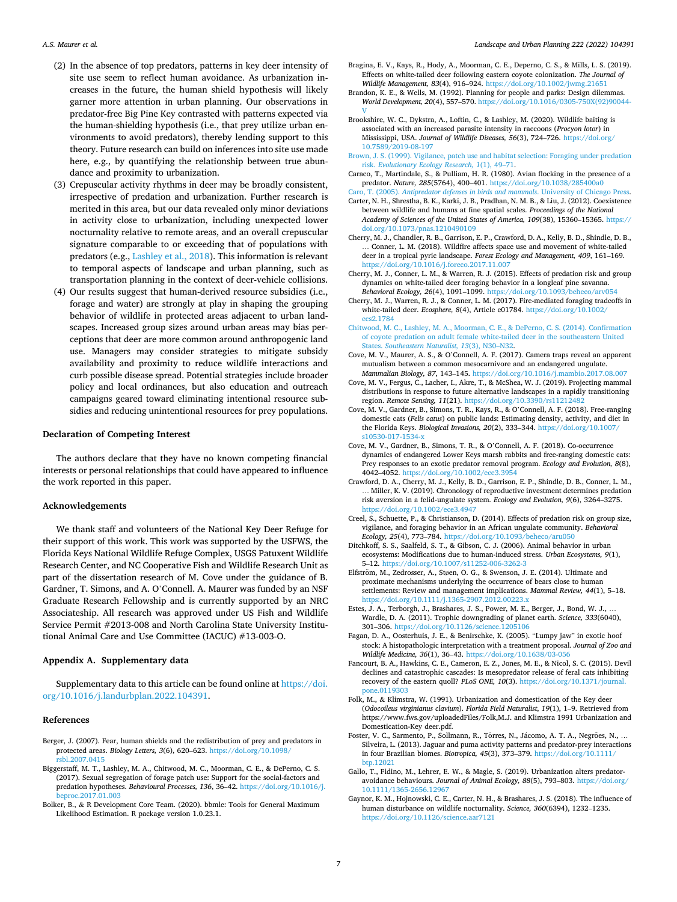- <span id="page-6-0"></span>(2) In the absence of top predators, patterns in key deer intensity of site use seem to reflect human avoidance. As urbanization increases in the future, the human shield hypothesis will likely garner more attention in urban planning. Our observations in predator-free Big Pine Key contrasted with patterns expected via the human-shielding hypothesis (i.e., that prey utilize urban environments to avoid predators), thereby lending support to this theory. Future research can build on inferences into site use made here, e.g., by quantifying the relationship between true abundance and proximity to urbanization.
- (3) Crepuscular activity rhythms in deer may be broadly consistent, irrespective of predation and urbanization. Further research is merited in this area, but our data revealed only minor deviations in activity close to urbanization, including unexpected lower nocturnality relative to remote areas, and an overall crepuscular signature comparable to or exceeding that of populations with predators (e.g., [Lashley et al., 2018](#page-7-0)). This information is relevant to temporal aspects of landscape and urban planning, such as transportation planning in the context of deer-vehicle collisions.
- (4) Our results suggest that human-derived resource subsidies (i.e., forage and water) are strongly at play in shaping the grouping behavior of wildlife in protected areas adjacent to urban landscapes. Increased group sizes around urban areas may bias perceptions that deer are more common around anthropogenic land use. Managers may consider strategies to mitigate subsidy availability and proximity to reduce wildlife interactions and curb possible disease spread. Potential strategies include broader policy and local ordinances, but also education and outreach campaigns geared toward eliminating intentional resource subsidies and reducing unintentional resources for prey populations.

### **Declaration of Competing Interest**

The authors declare that they have no known competing financial interests or personal relationships that could have appeared to influence the work reported in this paper.

## **Acknowledgements**

We thank staff and volunteers of the National Key Deer Refuge for their support of this work. This work was supported by the USFWS, the Florida Keys National Wildlife Refuge Complex, USGS Patuxent Wildlife Research Center, and NC Cooperative Fish and Wildlife Research Unit as part of the dissertation research of M. Cove under the guidance of B. Gardner, T. Simons, and A. O'Connell. A. Maurer was funded by an NSF Graduate Research Fellowship and is currently supported by an NRC Associateship. All research was approved under US Fish and Wildlife Service Permit #2013-008 and North Carolina State University Institutional Animal Care and Use Committee (IACUC) #13-003-O.

## **Appendix A. Supplementary data**

Supplementary data to this article can be found online at [https://doi.](https://doi.org/10.1016/j.landurbplan.2022.104391)  [org/10.1016/j.landurbplan.2022.104391.](https://doi.org/10.1016/j.landurbplan.2022.104391)

## **References**

- Berger, J. (2007). Fear, human shields and the redistribution of prey and predators in protected areas. *Biology Letters, 3*(6), 620–623. [https://doi.org/10.1098/](https://doi.org/10.1098/rsbl.2007.0415) [rsbl.2007.0415](https://doi.org/10.1098/rsbl.2007.0415)
- Biggerstaff, M. T., Lashley, M. A., Chitwood, M. C., Moorman, C. E., & DePerno, C. S. (2017). Sexual segregation of forage patch use: Support for the social-factors and predation hypotheses. *Behavioural Processes, 136*, 36–42. [https://doi.org/10.1016/j.](https://doi.org/10.1016/j.beproc.2017.01.003)  [beproc.2017.01.003](https://doi.org/10.1016/j.beproc.2017.01.003)
- Bolker, B., & R Development Core Team. (2020). bbmle: Tools for General Maximum Likelihood Estimation. R package version 1.0.23.1.
- Bragina, E. V., Kays, R., Hody, A., Moorman, C. E., Deperno, C. S., & Mills, L. S. (2019). Effects on white-tailed deer following eastern coyote colonization. *The Journal of Wildlife Management, 83*(4), 916–924. <https://doi.org/10.1002/jwmg.21651>
- Brandon, K. E., & Wells, M. (1992). Planning for people and parks: Design dilemmas. *World Development, 20*(4), 557–570. [https://doi.org/10.1016/0305-750X\(92\)90044-](https://doi.org/10.1016/0305-750X(92)90044-V)  [V](https://doi.org/10.1016/0305-750X(92)90044-V)
- Brookshire, W. C., Dykstra, A., Loftin, C., & Lashley, M. (2020). Wildlife baiting is associated with an increased parasite intensity in raccoons (*Procyon lotor*) in Mississippi, USA. *Journal of Wildlife Diseases, 56*(3), 724–726. [https://doi.org/](https://doi.org/10.7589/2019-08-197) [10.7589/2019-08-197](https://doi.org/10.7589/2019-08-197)
- [Brown, J. S. \(1999\). Vigilance, patch use and habitat selection: Foraging under predation](http://refhub.elsevier.com/S0169-2046(22)00040-8/h0035)  risk. *[Evolutionary Ecology Research, 1](http://refhub.elsevier.com/S0169-2046(22)00040-8/h0035)*(1), 49–71.
- Caraco, T., Martindale, S., & Pulliam, H. R. (1980). Avian flocking in the presence of a predator. *Nature, 285*(5764), 400-401. <https://doi.org/10.1038/285400a0><br>o. T. (2005). Antipredator defenses in birds and mammals. University of Chicago Press. Caro, T. (2005). *Antipredator defendator*
- Carter, N. H., Shrestha, B. K., Karki, J. B., Pradhan, N. M. B., & Liu, J. (2012). Coexistence between wildlife and humans at fine spatial scales. *Proceedings of the National Academy of Sciences of the United States of America, 109*(38), 15360–15365. [https://](https://doi.org/10.1073/pnas.1210490109)  [doi.org/10.1073/pnas.1210490109](https://doi.org/10.1073/pnas.1210490109)
- Cherry, M. J., Chandler, R. B., Garrison, E. P., Crawford, D. A., Kelly, B. D., Shindle, D. B., … Conner, L. M. (2018). Wildfire affects space use and movement of white-tailed deer in a tropical pyric landscape. *Forest Ecology and Management, 409*, 161–169. <https://doi.org/10.1016/j.foreco.2017.11.007>
- Cherry, M. J., Conner, L. M., & Warren, R. J. (2015). Effects of predation risk and group dynamics on white-tailed deer foraging behavior in a longleaf pine savanna. *Behavioral Ecology, 26*(4), 1091–1099. <https://doi.org/10.1093/beheco/arv054>
- Cherry, M. J., Warren, R. J., & Conner, L. M. (2017). Fire-mediated foraging tradeoffs in white-tailed deer. *Ecosphere, 8*(4), Article e01784. [https://doi.org/10.1002/](https://doi.org/10.1002/ecs2.1784)  [ecs2.1784](https://doi.org/10.1002/ecs2.1784)
- [Chitwood, M. C., Lashley, M. A., Moorman, C. E., & DePerno, C. S. \(2014\). Confirmation](http://refhub.elsevier.com/S0169-2046(22)00040-8/h0070)  [of coyote predation on adult female white-tailed deer in the southeastern United](http://refhub.elsevier.com/S0169-2046(22)00040-8/h0070) States. *[Southeastern Naturalist, 13](http://refhub.elsevier.com/S0169-2046(22)00040-8/h0070)*(3), N30–N32.
- Cove, M. V., Maurer, A. S., & O'Connell, A. F. (2017). Camera traps reveal an apparent mutualism between a common mesocarnivore and an endangered ungulate. *Mammalian Biology, 87*, 143–145. <https://doi.org/10.1016/j.mambio.2017.08.007>
- Cove, M. V., Fergus, C., Lacher, I., Akre, T., & McShea, W. J. (2019). Projecting mammal distributions in response to future alternative landscapes in a rapidly transitioning region. *Remote Sensing, 11*(21). <https://doi.org/10.3390/rs11212482>
- Cove, M. V., Gardner, B., Simons, T. R., Kays, R., & O'Connell, A. F. (2018). Free-ranging domestic cats (*Felis catus*) on public lands: Estimating density, activity, and diet in the Florida Keys. *Biological Invasions, 20*(2), 333–344. [https://doi.org/10.1007/](https://doi.org/10.1007/s10530-017-1534-x) [s10530-017-1534-x](https://doi.org/10.1007/s10530-017-1534-x)
- Cove, M. V., Gardner, B., Simons, T. R., & O'Connell, A. F. (2018). Co-occurrence dynamics of endangered Lower Keys marsh rabbits and free-ranging domestic cats: Prey responses to an exotic predator removal program. *Ecology and Evolution, 8*(8), 4042–4052.<https://doi.org/10.1002/ece3.3954>
- Crawford, D. A., Cherry, M. J., Kelly, B. D., Garrison, E. P., Shindle, D. B., Conner, L. M., … Miller, K. V. (2019). Chronology of reproductive investment determines predation risk aversion in a felid-ungulate system. *Ecology and Evolution, 9*(6), 3264–3275. <https://doi.org/10.1002/ece3.4947>
- Creel, S., Schuette, P., & Christianson, D. (2014). Effects of predation risk on group size, vigilance, and foraging behavior in an African ungulate community. *Behavioral Ecology, 25*(4), 773–784. <https://doi.org/10.1093/beheco/aru050>
- Ditchkoff, S. S., Saalfeld, S. T., & Gibson, C. J. (2006). Animal behavior in urban ecosystems: Modifications due to human-induced stress. *Urban Ecosystems, 9*(1), 5–12.<https://doi.org/10.1007/s11252-006-3262-3>
- Elfström, M., Zedrosser, A., Støen, O. G., & Swenson, J. E. (2014). Ultimate and proximate mechanisms underlying the occurrence of bears close to human settlements: Review and management implications. *Mammal Review, 44*(1), 5–18. <https://doi.org/10.1111/j.1365-2907.2012.00223.x>
- Estes, J. A., Terborgh, J., Brashares, J. S., Power, M. E., Berger, J., Bond, W. J., Wardle, D. A. (2011). Trophic downgrading of planet earth. *Science, 333*(6040), 301–306. <https://doi.org/10.1126/science.1205106>
- Fagan, D. A., Oosterhuis, J. E., & Benirschke, K. (2005). "Lumpy jaw" in exotic hoof stock: A histopathologic interpretation with a treatment proposal. *Journal of Zoo and Wildlife Medicine, 36*(1), 36–43. <https://doi.org/10.1638/03-056>
- Fancourt, B. A., Hawkins, C. E., Cameron, E. Z., Jones, M. E., & Nicol, S. C. (2015). Devil declines and catastrophic cascades: Is mesopredator release of feral cats inhibiting recovery of the eastern quoll? *PLoS ONE, 10*(3). [https://doi.org/10.1371/journal.](https://doi.org/10.1371/journal.pone.0119303) [pone.0119303](https://doi.org/10.1371/journal.pone.0119303)
- Folk, M., & Klimstra, W. (1991). Urbanization and domestication of the Key deer (*Odocoileus virginianus clavium*). *Florida Field Naturalist*, *19*(1), 1–9. Retrieved from https://www.fws.gov/uploadedFiles/Folk,M.J. and Klimstra 1991 Urbanization and Domestication-Key deer.pdf.
- Foster, V. C., Sarmento, P., Sollmann, R., Tôrres, N., Jácomo, A. T. A., Negrões, N., ... Silveira, L. (2013). Jaguar and puma activity patterns and predator-prey interactions in four Brazilian biomes. *Biotropica, 45*(3), 373–379. [https://doi.org/10.1111/](https://doi.org/10.1111/btp.12021) btp.1202<sup>-</sup>
- Gallo, T., Fidino, M., Lehrer, E. W., & Magle, S. (2019). Urbanization alters predatoravoidance behaviours. *Journal of Animal Ecology, 88*(5), 793–803. [https://doi.org/](https://doi.org/10.1111/1365-2656.12967) [10.1111/1365-2656.12967](https://doi.org/10.1111/1365-2656.12967)
- Gaynor, K. M., Hojnowski, C. E., Carter, N. H., & Brashares, J. S. (2018). The influence of human disturbance on wildlife nocturnality. *Science, 360*(6394), 1232–1235. <https://doi.org/10.1126/science.aar7121>